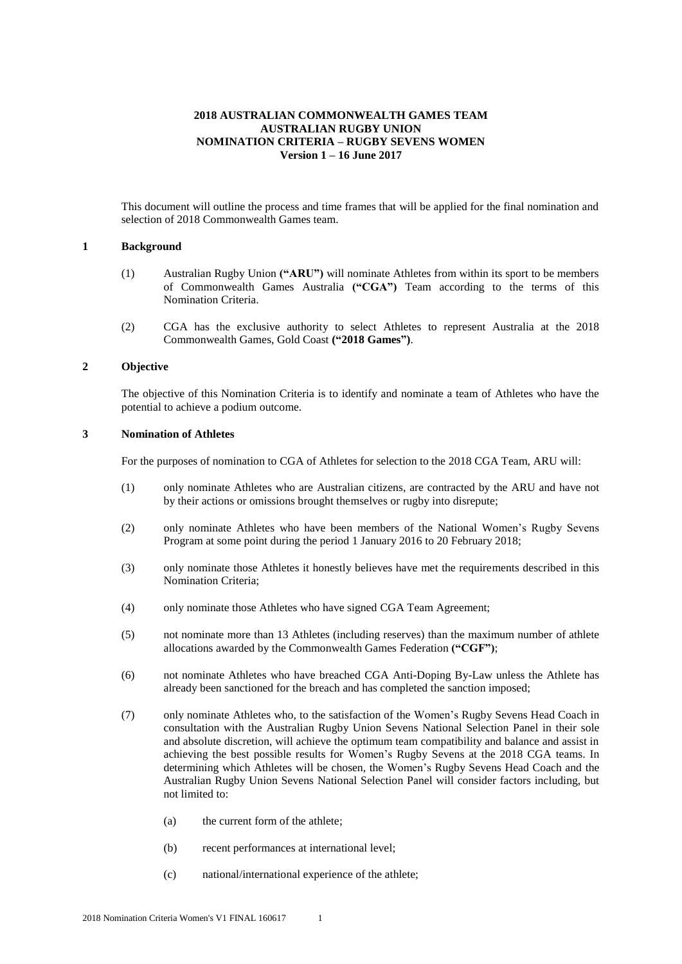## **2018 AUSTRALIAN COMMONWEALTH GAMES TEAM AUSTRALIAN RUGBY UNION NOMINATION CRITERIA – RUGBY SEVENS WOMEN Version 1 – 16 June 2017**

This document will outline the process and time frames that will be applied for the final nomination and selection of 2018 Commonwealth Games team.

#### **1 Background**

- (1) Australian Rugby Union **("ARU")** will nominate Athletes from within its sport to be members of Commonwealth Games Australia **("CGA")** Team according to the terms of this Nomination Criteria.
- (2) CGA has the exclusive authority to select Athletes to represent Australia at the 2018 Commonwealth Games, Gold Coast **("2018 Games")**.

### **2 Objective**

The objective of this Nomination Criteria is to identify and nominate a team of Athletes who have the potential to achieve a podium outcome.

### **3 Nomination of Athletes**

For the purposes of nomination to CGA of Athletes for selection to the 2018 CGA Team, ARU will:

- (1) only nominate Athletes who are Australian citizens, are contracted by the ARU and have not by their actions or omissions brought themselves or rugby into disrepute;
- (2) only nominate Athletes who have been members of the National Women's Rugby Sevens Program at some point during the period 1 January 2016 to 20 February 2018;
- (3) only nominate those Athletes it honestly believes have met the requirements described in this Nomination Criteria;
- (4) only nominate those Athletes who have signed CGA Team Agreement;
- (5) not nominate more than 13 Athletes (including reserves) than the maximum number of athlete allocations awarded by the Commonwealth Games Federation **("CGF")**;
- (6) not nominate Athletes who have breached CGA Anti-Doping By-Law unless the Athlete has already been sanctioned for the breach and has completed the sanction imposed;
- (7) only nominate Athletes who, to the satisfaction of the Women's Rugby Sevens Head Coach in consultation with the Australian Rugby Union Sevens National Selection Panel in their sole and absolute discretion, will achieve the optimum team compatibility and balance and assist in achieving the best possible results for Women's Rugby Sevens at the 2018 CGA teams. In determining which Athletes will be chosen, the Women's Rugby Sevens Head Coach and the Australian Rugby Union Sevens National Selection Panel will consider factors including, but not limited to:
	- (a) the current form of the athlete;
	- (b) recent performances at international level;
	- (c) national/international experience of the athlete;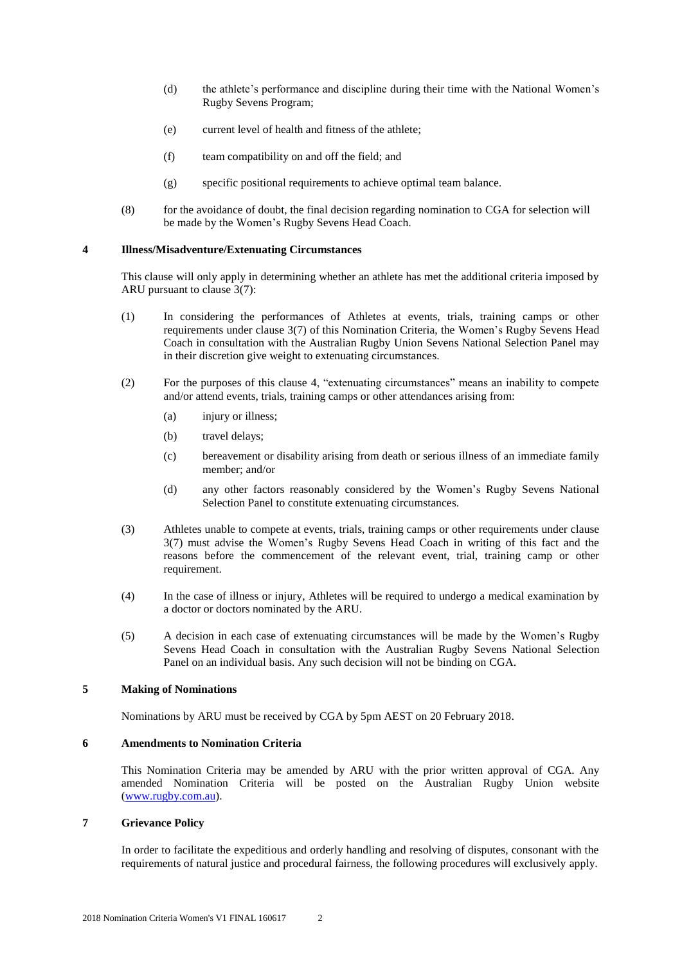- (d) the athlete's performance and discipline during their time with the National Women's Rugby Sevens Program;
- (e) current level of health and fitness of the athlete;
- (f) team compatibility on and off the field; and
- (g) specific positional requirements to achieve optimal team balance.
- (8) for the avoidance of doubt, the final decision regarding nomination to CGA for selection will be made by the Women's Rugby Sevens Head Coach.

## **4 Illness/Misadventure/Extenuating Circumstances**

This clause will only apply in determining whether an athlete has met the additional criteria imposed by ARU pursuant to clause 3(7):

- (1) In considering the performances of Athletes at events, trials, training camps or other requirements under clause 3(7) of this Nomination Criteria, the Women's Rugby Sevens Head Coach in consultation with the Australian Rugby Union Sevens National Selection Panel may in their discretion give weight to extenuating circumstances.
- (2) For the purposes of this clause 4, "extenuating circumstances" means an inability to compete and/or attend events, trials, training camps or other attendances arising from:
	- (a) injury or illness;
	- (b) travel delays;
	- (c) bereavement or disability arising from death or serious illness of an immediate family member; and/or
	- (d) any other factors reasonably considered by the Women's Rugby Sevens National Selection Panel to constitute extenuating circumstances.
- (3) Athletes unable to compete at events, trials, training camps or other requirements under clause 3(7) must advise the Women's Rugby Sevens Head Coach in writing of this fact and the reasons before the commencement of the relevant event, trial, training camp or other requirement.
- (4) In the case of illness or injury, Athletes will be required to undergo a medical examination by a doctor or doctors nominated by the ARU.
- (5) A decision in each case of extenuating circumstances will be made by the Women's Rugby Sevens Head Coach in consultation with the Australian Rugby Sevens National Selection Panel on an individual basis. Any such decision will not be binding on CGA.

#### **5 Making of Nominations**

Nominations by ARU must be received by CGA by 5pm AEST on 20 February 2018.

#### **6 Amendments to Nomination Criteria**

This Nomination Criteria may be amended by ARU with the prior written approval of CGA. Any amended Nomination Criteria will be posted on the Australian Rugby Union website [\(www.rugby.com.au\)](http://www.badminton.org.au/).

### **7 Grievance Policy**

In order to facilitate the expeditious and orderly handling and resolving of disputes, consonant with the requirements of natural justice and procedural fairness, the following procedures will exclusively apply.